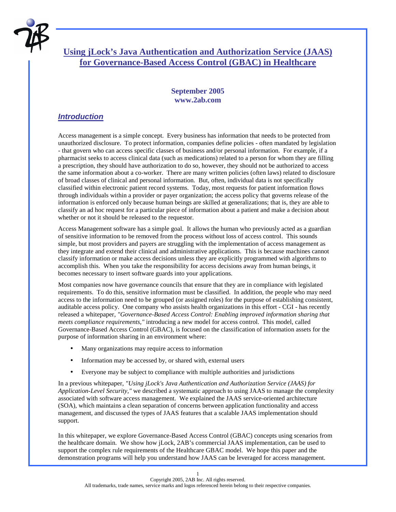

# **Using jLock's Java Authentication and Authorization Service (JAAS) for Governance-Based Access Control (GBAC) in Healthcare**

### **September 2005 www.2ab.com**

### *Introduction*

Access management is a simple concept. Every business has information that needs to be protected from unauthorized disclosure. To protect information, companies define policies - often mandated by legislation - that govern who can access specific classes of business and/or personal information. For example, if a pharmacist seeks to access clinical data (such as medications) related to a person for whom they are filling a prescription, they should have authorization to do so, however, they should not be authorized to access the same information about a co-worker. There are many written policies (often laws) related to disclosure of broad classes of clinical and personal information. But, often, individual data is not specifically classified within electronic patient record systems. Today, most requests for patient information flows through individuals within a provider or payer organization; the access policy that governs release of the information is enforced only because human beings are skilled at generalizations; that is, they are able to classify an ad hoc request for a particular piece of information about a patient and make a decision about whether or not it should be released to the requestor.

Access Management software has a simple goal. It allows the human who previously acted as a guardian of sensitive information to be removed from the process without loss of access control. This sounds simple, but most providers and payers are struggling with the implementation of access management as they integrate and extend their clinical and administrative applications. This is because machines cannot classify information or make access decisions unless they are explicitly programmed with algorithms to accomplish this. When you take the responsibility for access decisions away from human beings, it becomes necessary to insert software guards into your applications.

Most companies now have governance councils that ensure that they are in compliance with legislated requirements. To do this, sensitive information must be classified. In addition, the people who may need access to the information need to be grouped (or assigned roles) for the purpose of establishing consistent, auditable access policy. One company who assists health organizations in this effort - CGI - has recently released a whitepaper, *"Governance-Based Access Control: Enabling improved information sharing that meets compliance requirements,"* introducing a new model for access control. This model, called Governance-Based Access Control (GBAC), is focused on the classification of information assets for the purpose of information sharing in an environment where:

- Many organizations may require access to information
- Information may be accessed by, or shared with, external users
- Everyone may be subject to compliance with multiple authorities and jurisdictions

In a previous whitepaper, *"Using jLock's Java Authentication and Authorization Service (JAAS) for Application-Level Security,"* we described a systematic approach to using JAAS to manage the complexity associated with software access management. We explained the JAAS service-oriented architecture (SOA), which maintains a clean separation of concerns between application functionality and access management, and discussed the types of JAAS features that a scalable JAAS implementation should support.

In this whitepaper, we explore Governance-Based Access Control (GBAC) concepts using scenarios from the healthcare domain. We show how jLock, 2AB's commercial JAAS implementation, can be used to support the complex rule requirements of the Healthcare GBAC model. We hope this paper and the demonstration programs will help you understand how JAAS can be leveraged for access management.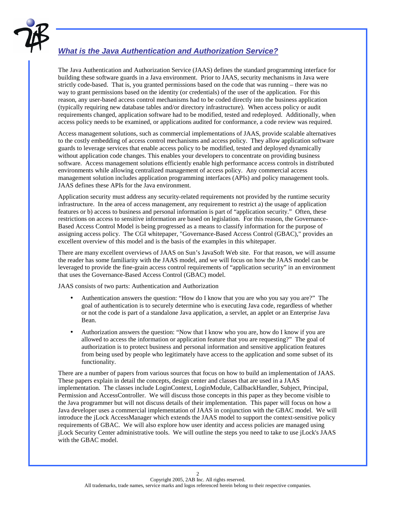

## *What is the Java Authentication and Authorization Service?*

The Java Authentication and Authorization Service (JAAS) defines the standard programming interface for building these software guards in a Java environment. Prior to JAAS, security mechanisms in Java were strictly code-based. That is, you granted permissions based on the code that was running – there was no way to grant permissions based on the identity (or credentials) of the user of the application. For this reason, any user-based access control mechanisms had to be coded directly into the business application (typically requiring new database tables and/or directory infrastructure). When access policy or audit requirements changed, application software had to be modified, tested and redeployed. Additionally, when access policy needs to be examined, or applications audited for conformance, a code review was required.

Access management solutions, such as commercial implementations of JAAS, provide scalable alternatives to the costly embedding of access control mechanisms and access policy. They allow application software guards to leverage services that enable access policy to be modified, tested and deployed dynamically without application code changes. This enables your developers to concentrate on providing business software. Access management solutions efficiently enable high performance access controls in distributed environments while allowing centralized management of access policy. Any commercial access management solution includes application programming interfaces (APIs) and policy management tools. JAAS defines these APIs for the Java environment.

Application security must address any security-related requirements not provided by the runtime security infrastructure. In the area of access management, any requirement to restrict a) the usage of application features or b) access to business and personal information is part of "application security." Often, these restrictions on access to sensitive information are based on legislation. For this reason, the Governance-Based Access Control Model is being progressed as a means to classify information for the purpose of assigning access policy. The CGI whitepaper, "Governance-Based Access Control (GBAC)," provides an excellent overview of this model and is the basis of the examples in this whitepaper.

There are many excellent overviews of JAAS on Sun's JavaSoft Web site. For that reason, we will assume the reader has some familiarity with the JAAS model, and we will focus on how the JAAS model can be leveraged to provide the fine-grain access control requirements of "application security" in an environment that uses the Governance-Based Access Control (GBAC) model.

JAAS consists of two parts: Authentication and Authorization

- Authentication answers the question: "How do I know that you are who you say you are?" The goal of authentication is to securely determine who is executing Java code, regardless of whether or not the code is part of a standalone Java application, a servlet, an applet or an Enterprise Java Bean.
- Authorization answers the question: "Now that I know who you are, how do I know if you are allowed to access the information or application feature that you are requesting?" The goal of authorization is to protect business and personal information and sensitive application features from being used by people who legitimately have access to the application and some subset of its functionality.

There are a number of papers from various sources that focus on how to build an implementation of JAAS. These papers explain in detail the concepts, design center and classes that are used in a JAAS implementation. The classes include LoginContext, LoginModule, CallbackHandler, Subject, Principal, Permission and AccessController. We will discuss those concepts in this paper as they become visible to the Java programmer but will not discuss details of their implementation. This paper will focus on how a Java developer uses a commercial implementation of JAAS in conjunction with the GBAC model. We will introduce the jLock AccessManager which extends the JAAS model to support the context-sensitive policy requirements of GBAC. We will also explore how user identity and access policies are managed using jLock Security Center administrative tools. We will outline the steps you need to take to use jLock's JAAS with the GBAC model.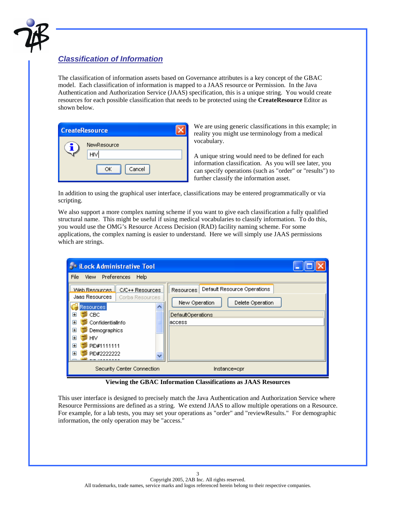

### *Classification of Information*

The classification of information assets based on Governance attributes is a key concept of the GBAC model. Each classification of information is mapped to a JAAS resource or Permission. In the Java Authentication and Authorization Service (JAAS) specification, this is a unique string. You would create resources for each possible classification that needs to be protected using the **CreateResource** Editor as shown below.

| <b>CreateResource</b> |                                    |  |
|-----------------------|------------------------------------|--|
|                       | NewResource<br>HIV<br>Cancel<br>ОК |  |

We are using generic classifications in this example; in reality you might use terminology from a medical vocabulary.

A unique string would need to be defined for each information classification. As you will see later, you can specify operations (such as "order" or "results") to further classify the information asset.

In addition to using the graphical user interface, classifications may be entered programmatically or via scripting.

We also support a more complex naming scheme if you want to give each classification a fully qualified structural name. This might be useful if using medical vocabularies to classify information. To do this, you would use the OMG's Resource Access Decision (RAD) facility naming scheme. For some applications, the complex naming is easier to understand. Here we will simply use JAAS permissions which are strings.

| <b>John Medicies</b> Tool                                                                                                                                                                                               |                                                                                                                     |  |  |  |
|-------------------------------------------------------------------------------------------------------------------------------------------------------------------------------------------------------------------------|---------------------------------------------------------------------------------------------------------------------|--|--|--|
| View Preferences<br>File<br>Help                                                                                                                                                                                        |                                                                                                                     |  |  |  |
| Web Resources<br>C/C++ Resources<br>Jaas Resources .<br>Corba Resources<br>Resources<br>CBC.<br>Ŧ<br>Ŧ<br>ConfidentialInfo<br>Œ<br>Demographics<br>$\overline{+}$<br><b>HIV</b><br>Œ<br>PID#1111111<br>Œ<br>PID#2222222 | Default Resource Operations<br>Resources<br>New Operation<br>Delete Operation<br><b>DefaultOperations</b><br>access |  |  |  |
| Security Center Connection<br>Instance=cpr                                                                                                                                                                              |                                                                                                                     |  |  |  |

**Viewing the GBAC Information Classifications as JAAS Resources**

This user interface is designed to precisely match the Java Authentication and Authorization Service where Resource Permissions are defined as a string. We extend JAAS to allow multiple operations on a Resource. For example, for a lab tests, you may set your operations as "order" and "reviewResults." For demographic information, the only operation may be "access."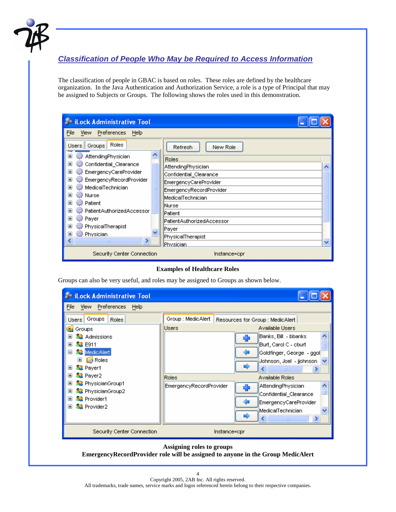

## *Classification of People Who May be Required to Access Information*

The classification of people in GBAC is based on roles. These roles are defined by the healthcare organization. In the Java Authentication and Authorization Service, a role is a type of Principal that may be assigned to Subjects or Groups. The following shows the roles used in this demonstration.

| <b>Collect Administrative Tool</b>                                                     |                                                 |  |
|----------------------------------------------------------------------------------------|-------------------------------------------------|--|
| View Preferences<br>File<br>Help                                                       |                                                 |  |
| Roles<br>Users   Groups<br>AttendingPhysician<br>Œ                                     | Refresh<br>New Role                             |  |
| Confidential_Clearance<br>EmergencyCareProvider<br>$\mathbf \Xi$                       | Roles<br>AttendingPhysician                     |  |
| EmergencyRecordProvider                                                                | Confidential_Clearance<br>EmergencyCareProvider |  |
| MedicalTechnician<br>୍ତ} Nurse                                                         | EmergencyRecordProvider<br>MedicalTechnician    |  |
| <b>Patient</b><br>$\mathbf \overline{\mathbf \mathbf{+}}$<br>PatientAuthorizedAccessor | <b>Nurse</b><br>Patient                         |  |
| $\overline{+}$<br><b>Payer</b><br>PhysicalTherapist<br>$\mathbf \Xi$                   | PatientAuthorizedAccessor                       |  |
| <b>Physician</b><br>$\mathbf \Xi$<br>∢<br>ШI                                           | <b>Payer</b><br>PhysicalTherapist               |  |
| Security Center Connection                                                             | Physician<br>Instance=cpr                       |  |

#### **Examples of Healthcare Roles**

Groups can also be very useful, and roles may be assigned to Groups as shown below.

| <b>EDITION Administrative Tool</b>                                                                                                                                                                                                                                                                                                    |                                                                                                                                                                                                                                                                                                                                                                                   |  |  |  |
|---------------------------------------------------------------------------------------------------------------------------------------------------------------------------------------------------------------------------------------------------------------------------------------------------------------------------------------|-----------------------------------------------------------------------------------------------------------------------------------------------------------------------------------------------------------------------------------------------------------------------------------------------------------------------------------------------------------------------------------|--|--|--|
| File View Preferences<br>Help                                                                                                                                                                                                                                                                                                         |                                                                                                                                                                                                                                                                                                                                                                                   |  |  |  |
| Groups<br><b>Roles</b><br>Users<br>Groups<br><b>32</b> Admissions<br><b>32</b> E911<br>Ŧ<br>MedicAlert<br>$\blacksquare$<br>Roles<br>⊞<br><b>Sa</b> Payer1<br>⊞<br><b>S2</b> Payer2<br>Ŧ<br><b>SB</b> PhysicianGroup1<br>Ŧ<br><b>S2</b> PhysicianGroup2<br>H<br><b>SR</b> Provider1<br>$\pm$<br><b>SR</b> Provider2<br>$\overline{+}$ | Group : MedicAlert<br>Resources for Group : MedicAlert<br>Available Users<br>Users<br> Banks, Bill  - bbanks <br>Burt, Carol C - cburt<br>Goldfinger, George - ggol<br>Johnson, Joel - jjohnson<br><b>TITLE</b><br><b>Roles</b><br>Available Roles<br>EmergencyRecordProvider<br>AttendingPhysician<br>Confidential_Clearance<br>EmergencyCareProvider<br>MedicalTechnician<br>ШI |  |  |  |
| Security Center Connection<br>Instance=cpr                                                                                                                                                                                                                                                                                            |                                                                                                                                                                                                                                                                                                                                                                                   |  |  |  |
| Assigning roles to groups                                                                                                                                                                                                                                                                                                             |                                                                                                                                                                                                                                                                                                                                                                                   |  |  |  |

**EmergencyRecordProvider role will be assigned to anyone in the Group MedicAlert**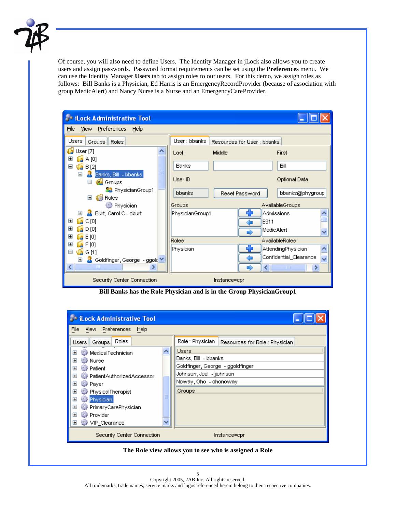

Of course, you will also need to define Users. The Identity Manager in jLock also allows you to create users and assign passwords. Password format requirements can be set using the **Preferences** menu. We can use the Identity Manager **Users** tab to assign roles to our users. For this demo, we assign roles as follows: Bill Banks is a Physician, Ed Harris is an EmergencyRecordProvider (because of association with group MedicAlert) and Nancy Nurse is a Nurse and an EmergencyCareProvider.

| <b>EDITION Administrative Tool</b>             |                                             |                |                        |  |  |
|------------------------------------------------|---------------------------------------------|----------------|------------------------|--|--|
| View Preferences Help<br>File                  |                                             |                |                        |  |  |
| Users<br>Groups Roles                          | User : bbanks<br>Resources for User: bbanks |                |                        |  |  |
| User [7]<br>$\Box$ A [0]                       | Last                                        | Middle         | First                  |  |  |
| B[2]                                           | Banks                                       |                | Bill                   |  |  |
| Banks, Bill - bbanks<br>⊟<br>Ξ<br>Groups       | User ID                                     |                | Optional Data          |  |  |
| <b>S2</b> PhysicianGroup1<br>Roles<br>$\equiv$ | bbanks                                      | Reset Password | bbanks@phygroup        |  |  |
| <b>O</b> Physician                             | Groups                                      |                | AvailableGroups        |  |  |
| <b>Burt</b> , Carol C - cburt<br>⊞             | PhysicianGroup1                             |                | Admissions             |  |  |
| $\Box$ C [0]<br>⊞                              |                                             | E911           |                        |  |  |
| $\Box$ D[0]<br>E                               |                                             |                | MedicAlert             |  |  |
| $\Box$ E [0]<br>田                              | <b>Roles</b>                                |                | AvailableRoles         |  |  |
| $\blacksquare$ F [0]<br>$\overline{+}$         |                                             |                |                        |  |  |
| $\overline{\mathbb{Q}}$ G [1]                  | Physician                                   |                | AttendingPhysician     |  |  |
| Goldfinger, George - ggold V<br>Œ              |                                             |                | Confidential_Clearance |  |  |
| ≺∥<br><b>TITL</b>                              |                                             |                | $\rm{III}$<br>≯        |  |  |
| Security Center Connection<br>Instance=cpr     |                                             |                |                        |  |  |

**Bill Banks has the Role Physician and is in the Group PhysicianGroup1** 



#### **The Role view allows you to see who is assigned a Role**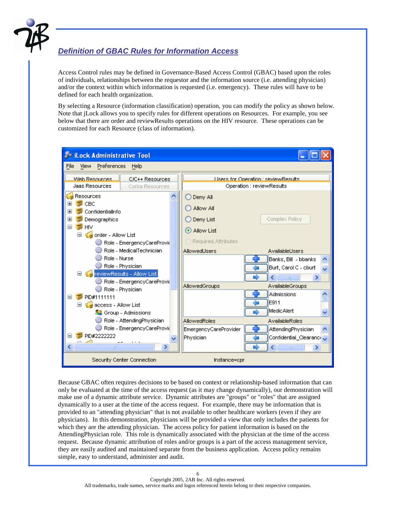

## *Definition of GBAC Rules for Information Access*

Access Control rules may be defined in Governance-Based Access Control (GBAC) based upon the roles of individuals, relationships between the requestor and the information source (i.e. attending physician) and/or the context within which information is requested (i.e. emergency). These rules will have to be defined for each health organization.

By selecting a Resource (information classification) operation, you can modify the policy as shown below. Note that jLock allows you to specify rules for different operations on Resources. For example, you see below that there are order and reviewResults operations on the HIV resource. These operations can be customized for each Resource (class of information).



Because GBAC often requires decisions to be based on context or relationship-based information that can only be evaluated at the time of the access request (as it may change dynamically), our demonstration will make use of a dynamic attribute service. Dynamic attributes are "groups" or "roles" that are assigned dynamically to a user at the time of the access request. For example, there may be information that is provided to an "attending physician" that is not available to other healthcare workers (even if they are physicians). In this demonstration, physicians will be provided a view that only includes the patients for which they are the attending physician. The access policy for patient information is based on the AttendingPhysician role. This role is dynamically associated with the physician at the time of the access request. Because dynamic attribution of roles and/or groups is a part of the access management service, they are easily audited and maintained separate from the business application. Access policy remains simple, easy to understand, administer and audit.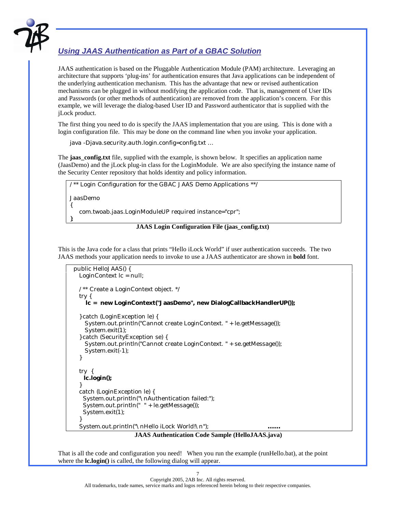

## *Using JAAS Authentication as Part of a GBAC Solution*

JAAS authentication is based on the Pluggable Authentication Module (PAM) architecture. Leveraging an architecture that supports 'plug-ins' for authentication ensures that Java applications can be independent of the underlying authentication mechanism. This has the advantage that new or revised authentication mechanisms can be plugged in without modifying the application code. That is, management of User IDs and Passwords (or other methods of authentication) are removed from the application's concern. For this example, we will leverage the dialog-based User ID and Password authenticator that is supplied with the jLock product.

The first thing you need to do is specify the JAAS implementation that you are using. This is done with a login configuration file. This may be done on the command line when you invoke your application.

java -Djava.security.auth.login.config=config.txt …

The **jaas\_config.txt** file, supplied with the example, is shown below. It specifies an application name (JaasDemo) and the jLock plug-in class for the LoginModule. We are also specifying the instance name of the Security Center repository that holds identity and policy information.

/\*\* Login Configuration for the GBAC JAAS Demo Applications \*\*/

JaasDemo

};

{ com.twoab.jaas.LoginModuleUP required instance="cpr";

#### **JAAS Login Configuration File (jaas\_config.txt)**

This is the Java code for a class that prints "Hello iLock World" if user authentication succeeds. The two JAAS methods your application needs to invoke to use a JAAS authenticator are shown in **bold** font.

```
public HelloJAAS() {
   LoginContext lc = null; 
   /** Create a LoginContext object. */ 
   try { 
     lc = new LoginContext("JaasDemo", new DialogCallbackHandlerUP()); 
  } catch (LoginException le) { 
     System.out.println("Cannot create LoginContext. " + le.getMessage()); 
     System.exit(1); 
   } catch (SecurityException se) { 
     System.out.println("Cannot create LoginContext. " + se.getMessage()); 
     System.exit(-1); 
   } 
   try { 
    lc.login(); 
} 
   catch (LoginException le) { 
    System.out.println("\nAuthentication failed:"); 
    System.out.println(" " + le.getMessage()); 
    System.exit(1); 
} 
  System.out.println("\nHello iLock World!\n");
                       JAAS Authentication Code Sample (HelloJAAS.java)
```
That is all the code and configuration you need! When you run the example (runHello.bat), at the point where the **lc.login**() is called, the following dialog will appear.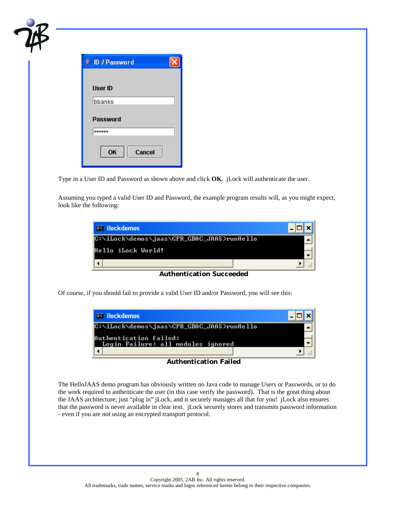| D / Password              |  |
|---------------------------|--|
|                           |  |
| <b>User ID</b><br>lbbanks |  |
| Password                  |  |
| ******                    |  |
| OK<br>Cancel              |  |

Type in a User ID and Password as shown above and click **OK**. jLock will authenticate the user.

Assuming you typed a valid User ID and Password, the example program results will, as you might expect, look like the following:

| <b>ex ilockdemos</b>                       |  |
|--------------------------------------------|--|
| C:\iLock\demos\jaas\CPR_GBAC_JAAS}runHello |  |
| Hello iLock World!                         |  |
|                                            |  |

**Authentication Succeeded** 

Of course, if you should fail to provide a valid User ID and/or Password, you will see this:

| <b>ex ilockdemos</b>                                         |  |
|--------------------------------------------------------------|--|
| C:\iLock\demos\jaas\CPR_GBAC_JAAS>runHello                   |  |
| Authentication failed:<br>Login Failure: all modules ignored |  |
|                                                              |  |

#### **Authentication Failed**

The HelloJAAS demo program has obviously written no Java code to manage Users or Passwords, or to do the work required to authenticate the user (in this case verify the password). That is the great thing about the JAAS architecture; just "plug in" jLock, and it securely manages all that for you! jLock also ensures that the password is never available in clear text. jLock securely stores and transmits password information - even if you are not using an encrypted transport protocol.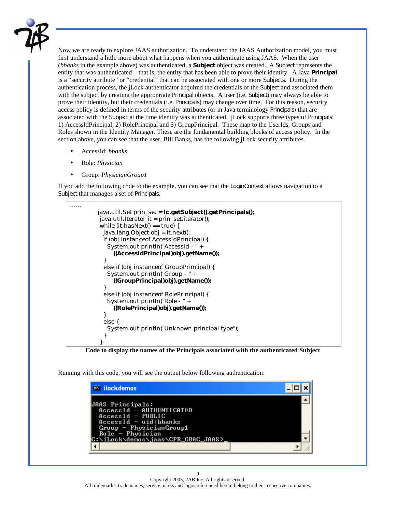

Now we are ready to explore JAAS authorization. To understand the JAAS Authorization model, you must first understand a little more about what happens when you authenticate using JAAS. When the user (*bbanks* in the example above) was authenticated, a **Subject** object was created. A Subject represents the entity that was authenticated – that is, the entity that has been able to prove their identity. A Java **Principal** is a "security attribute" or "credential" that can be associated with one or more Subjects. During the authentication process, the jLock authenticator acquired the credentials of the Subject and associated them with the subject by creating the appropriate Principal objects. A user (i.e. Subject) may always be able to prove their identity, but their credentials (i.e. Principals) may change over time. For this reason, security access policy is defined in terms of the security attributes (or in Java terminology Principals) that are associated with the Subject at the time identity was authenticated. jLock supports three types of Principals: 1) AccessIdPrincipal, 2) RolePrincipal and 3) GroupPrincipal. These map to the UserIds, Groups and Roles shown in the Identity Manager. These are the fundamental building blocks of access policy. In the section above, you can see that the user, Bill Banks, has the following jLock security attributes.

- AccessId: *bbanks*
- Role: *Physician*
- Group: *PhysicianGroup1*

If you add the following code to the example, you can see that the LoginContext allows navigation to a Subject that manages a set of Principals.



 **Code to display the names of the Principals associated with the authenticated Subject** 

Running with this code, you will see the output below following authentication:

| <b>ex ilockdemos</b>                                                                                  |  |
|-------------------------------------------------------------------------------------------------------|--|
| <b>JAAS Principals:</b><br>AccessId - AUTHENTICATED<br>$AccessId - PUBLIC$<br>$AccessId - uid:bbanks$ |  |
| $Group - PhysicianGroup1$<br>$Role - Physician$<br>C:\iLock\demos\jaas\CPR_GBAC_JAAS>                 |  |
|                                                                                                       |  |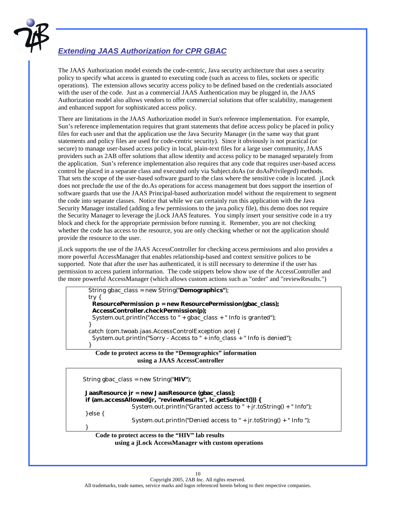

## *Extending JAAS Authorization for CPR GBAC*

The JAAS Authorization model extends the code-centric, Java security architecture that uses a security policy to specify what access is granted to executing code (such as access to files, sockets or specific operations). The extension allows security access policy to be defined based on the credentials associated with the user of the code. Just as a commercial JAAS Authentication may be plugged in, the JAAS Authorization model also allows vendors to offer commercial solutions that offer scalability, management and enhanced support for sophisticated access policy.

There are limitations in the JAAS Authorization model in Sun's reference implementation. For example, Sun's reference implementation requires that grant statements that define access policy be placed in policy files for each user and that the application use the Java Security Manager (in the same way that grant statements and policy files are used for code-centric security). Since it obviously is not practical (or secure) to manage user-based access policy in local, plain-text files for a large user community, JAAS providers such as 2AB offer solutions that allow identity and access policy to be managed separately from the application. Sun's reference implementation also requires that any code that requires user-based access control be placed in a separate class and executed only via Subject.doAs (or doAsPrivileged) methods. That sets the scope of the user-based software guard to the class where the sensitive code is located. jLock does not preclude the use of the do.As operations for access management but does support the insertion of software guards that use the JAAS Principal-based authorization model without the requirement to segment the code into separate classes. Notice that while we can certainly run this application with the Java Security Manager installed (adding a few permissions to the java.policy file), this demo does not require the Security Manager to leverage the jLock JAAS features. You simply insert your sensitive code in a try block and check for the appropriate permission before running it. Remember, you are not checking whether the code has access to the resource, you are only checking whether or not the application should provide the resource to the user.

jLock supports the use of the JAAS AccessController for checking access permissions and also provides a more powerful AccessManager that enables relationship-based and context sensitive polices to be supported. Note that after the user has authenticated, it is still necessary to determine if the user has permission to access patient information. The code snippets below show use of the AccessController and the more powerful AccessManager (which allows custom actions such as "order" and "reviewResults.")

```
 String gbac_class = new String("Demographics"); 
      try { 
       ResourcePermission p = new ResourcePermission(gbac_class); 
       AccessController.checkPermission(p); 
      System.out.println("Access to " + gbac_class + " Info is granted");
} 
      catch (com.twoab.jaas.AccessControlException ace) { 
       System.out.println("Sorry - Access to " + info_class + " Info is denied"); 
}
```
#### **Code to protect access to the "Demographics" information using a JAAS AccessController**

```
 String gbac_class = new String("HIV"); 
     JaasResource jr = new JaasResource (gbac_class); 
     if (am.accessAllowed(jr, "reviewResults", lc.getSubject())) { 
                     System.out.println("Granted access to " + jr.toString() + " Info");
     } else { 
                     System.out.println("Denied access to " + jr.toString() + " Info ");
}
```
#### **Code to protect access to the "HIV" lab results using a jLock AccessManager with custom operations**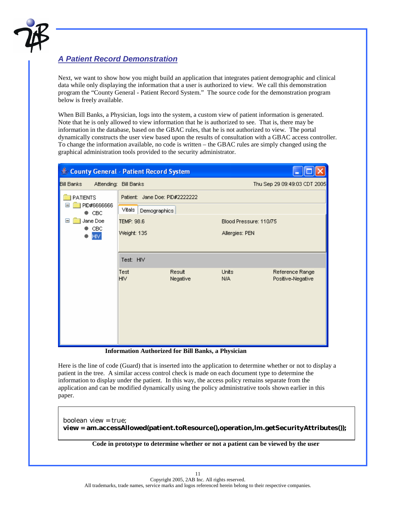

### *A Patient Record Demonstration*

Next, we want to show how you might build an application that integrates patient demographic and clinical data while only displaying the information that a user is authorized to view. We call this demonstration program the "County General - Patient Record System." The source code for the demonstration program below is freely available.

When Bill Banks, a Physician, logs into the system, a custom view of patient information is generated. Note that he is only allowed to view information that he is authorized to see. That is, there may be information in the database, based on the GBAC rules, that he is not authorized to view. The portal dynamically constructs the user view based upon the results of consultation with a GBAC access controller. To change the information available, no code is written – the GBAC rules are simply changed using the graphical administration tools provided to the security administrator.

| County General - Patient Record System                                           |                                                          |                    |                                          |                                      |
|----------------------------------------------------------------------------------|----------------------------------------------------------|--------------------|------------------------------------------|--------------------------------------|
| <b>Bill Banks</b>                                                                | Attending: Bill Banks                                    |                    | Thu Sep 29 09:49:03 CDT 2005             |                                      |
| <b>PATIENTS</b><br>PID#6666666<br>$\bullet$ CBC<br>Jane Doe<br>CBC<br><b>HIV</b> | Patient: Jane Doe: PID#2222222<br>Vitals<br>Demographics |                    |                                          |                                      |
|                                                                                  | TEMP: 98.6<br>Weight: 135                                |                    | Blood Pressure: 110/75<br>Allergies: PEN |                                      |
|                                                                                  | Test: HIV<br>Test<br><b>HIV</b>                          | Result<br>Negative | Units<br>N/A                             | Reference Range<br>Positive-Negative |

**Information Authorized for Bill Banks, a Physician** 

Here is the line of code (Guard) that is inserted into the application to determine whether or not to display a patient in the tree. A similar access control check is made on each document type to determine the information to display under the patient. In this way, the access policy remains separate from the application and can be modified dynamically using the policy administrative tools shown earlier in this paper.

boolean view = true; **view = am.accessAllowed(patient.toResource(),operation,lm.getSecurityAttributes());** 

**Code in prototype to determine whether or not a patient can be viewed by the user**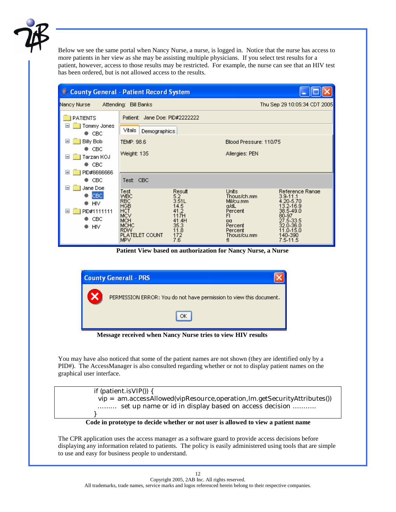

Below we see the same portal when Nancy Nurse, a nurse, is logged in. Notice that the nurse has access to more patients in her view as she may be assisting multiple physicians. If you select test results for a patient, however, access to those results may be restricted. For example, the nurse can see that an HIV test has been ordered, but is not allowed access to the results.

| County General - Patient Record System                                      |                                                                                                                                  |                                                                                       |                                                                                                              |                                                                                                                                               |
|-----------------------------------------------------------------------------|----------------------------------------------------------------------------------------------------------------------------------|---------------------------------------------------------------------------------------|--------------------------------------------------------------------------------------------------------------|-----------------------------------------------------------------------------------------------------------------------------------------------|
| Nancy Nurse                                                                 | Attending: Bill Banks                                                                                                            |                                                                                       |                                                                                                              | Thu Sep 29 10:05:34 CDT 2005                                                                                                                  |
| <b>PATIENTS</b>                                                             | Patient: Jane Doe: PID#2222222                                                                                                   |                                                                                       |                                                                                                              |                                                                                                                                               |
| Tommy Jones<br>♦ СВС                                                        | Vitals<br>Demographics                                                                                                           |                                                                                       |                                                                                                              |                                                                                                                                               |
| Ξ<br>Billy Bob                                                              | TEMP: 98.6                                                                                                                       |                                                                                       |                                                                                                              | Blood Pressure: 110/75                                                                                                                        |
| $\bullet$ CBC<br>Tarzan KOJ<br>$=$<br>$\bullet$ CBC<br>$=$                  | Weight: 135                                                                                                                      |                                                                                       | Allergies: PEN                                                                                               |                                                                                                                                               |
| PID#6666666<br>$\bullet$ CBC                                                | Test: CBC                                                                                                                        |                                                                                       |                                                                                                              |                                                                                                                                               |
| Jane Doe<br>⊟<br>CBC<br><b>HIV</b><br>PID#1111111<br>⊟<br>CBC<br><b>HIV</b> | Test<br><b>WBC</b><br><b>RBC</b><br><b>HGB</b><br>HCT<br>MCV<br><b>MCH</b><br><b>MCHC</b><br><b>RDW</b><br>PLATELET COUNT<br>MPV | Result<br>5.2<br>3.51L<br>14.5<br>41.2<br>117H<br>41.4H<br>35.3<br>11.8<br>172<br>7.6 | Units:<br>Thous/ch.mm<br>Mil/cu.mm<br>a/dL<br>Percent<br>FI<br>pa<br>Percent<br>Percent<br>Thous/cu.mm<br>fl | Reference Range<br>$3.9 - 11.1$<br>4.20-5.70<br>13.2-16.9<br>38.5-49.0<br>80-97<br>27.5-33.5<br>32.0-36.0<br>11.0-15.0<br>140-390<br>7.5-11.5 |

 **Patient View based on authorization for Nancy Nurse, a Nurse** 



 **Message received when Nancy Nurse tries to view HIV results** 

You may have also noticed that some of the patient names are not shown (they are identified only by a PID#). The AccessManager is also consulted regarding whether or not to display patient names on the graphical user interface.



#### **Code in prototype to decide whether or not user is allowed to view a patient name**

The CPR application uses the access manager as a software guard to provide access decisions before displaying any information related to patients. The policy is easily administered using tools that are simple to use and easy for business people to understand.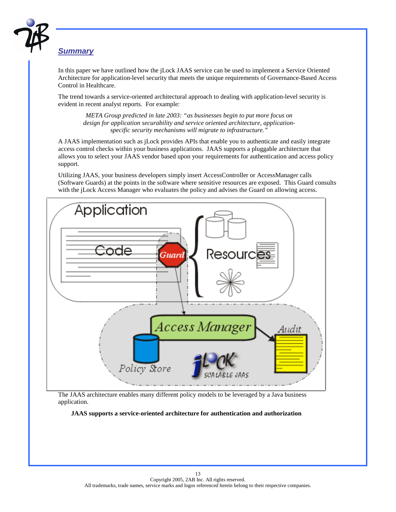

### *Summary*

In this paper we have outlined how the jLock JAAS service can be used to implement a Service Oriented Architecture for application-level security that meets the unique requirements of Governance-Based Access Control in Healthcare.

The trend towards a service-oriented architectural approach to dealing with application-level security is evident in recent analyst reports. For example:

*META Group predicted in late 2003: "as businesses begin to put more focus on design for application securability and service oriented architecture, applicationspecific security mechanisms will migrate to infrastructure."* 

A JAAS implementation such as jLock provides APIs that enable you to authenticate and easily integrate access control checks within your business applications. JAAS supports a pluggable architecture that allows you to select your JAAS vendor based upon your requirements for authentication and access policy support.

Utilizing JAAS, your business developers simply insert AccessController or AccessManager calls (Software Guards) at the points in the software where sensitive resources are exposed. This Guard consults with the jLock Access Manager who evaluates the policy and advises the Guard on allowing access.



The JAAS architecture enables many different policy models to be leveraged by a Java business application.

 **JAAS supports a service-oriented architecture for authentication and authorization**